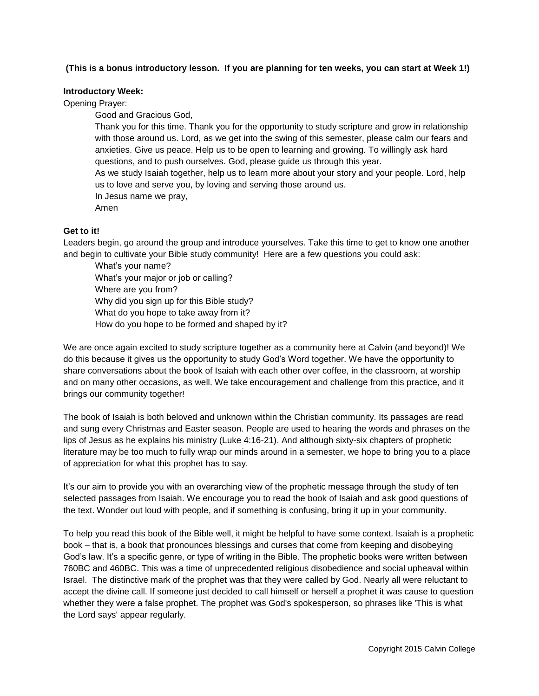## **(This is a bonus introductory lesson. If you are planning for ten weeks, you can start at Week 1!)**

## **Introductory Week:**

Opening Prayer:

Good and Gracious God,

Thank you for this time. Thank you for the opportunity to study scripture and grow in relationship with those around us. Lord, as we get into the swing of this semester, please calm our fears and anxieties. Give us peace. Help us to be open to learning and growing. To willingly ask hard questions, and to push ourselves. God, please guide us through this year.

As we study Isaiah together, help us to learn more about your story and your people. Lord, help us to love and serve you, by loving and serving those around us.

In Jesus name we pray,

Amen

## **Get to it!**

Leaders begin, go around the group and introduce yourselves. Take this time to get to know one another and begin to cultivate your Bible study community! Here are a few questions you could ask:

What's your name? What's your major or job or calling? Where are you from? Why did you sign up for this Bible study? What do you hope to take away from it? How do you hope to be formed and shaped by it?

We are once again excited to study scripture together as a community here at Calvin (and beyond)! We do this because it gives us the opportunity to study God's Word together. We have the opportunity to share conversations about the book of Isaiah with each other over coffee, in the classroom, at worship and on many other occasions, as well. We take encouragement and challenge from this practice, and it brings our community together!

The book of Isaiah is both beloved and unknown within the Christian community. Its passages are read and sung every Christmas and Easter season. People are used to hearing the words and phrases on the lips of Jesus as he explains his ministry (Luke 4:16-21). And although sixty-six chapters of prophetic literature may be too much to fully wrap our minds around in a semester, we hope to bring you to a place of appreciation for what this prophet has to say.

It's our aim to provide you with an overarching view of the prophetic message through the study of ten selected passages from Isaiah. We encourage you to read the book of Isaiah and ask good questions of the text. Wonder out loud with people, and if something is confusing, bring it up in your community.

To help you read this book of the Bible well, it might be helpful to have some context. Isaiah is a prophetic book – that is, a book that pronounces blessings and curses that come from keeping and disobeying God's law. It's a specific genre, or type of writing in the Bible. The prophetic books were written between 760BC and 460BC. This was a time of unprecedented religious disobedience and social upheaval within Israel. The distinctive mark of the prophet was that they were called by God. Nearly all were reluctant to accept the divine call. If someone just decided to call himself or herself a prophet it was cause to question whether they were a false prophet. The prophet was God's spokesperson, so phrases like 'This is what the Lord says' appear regularly.